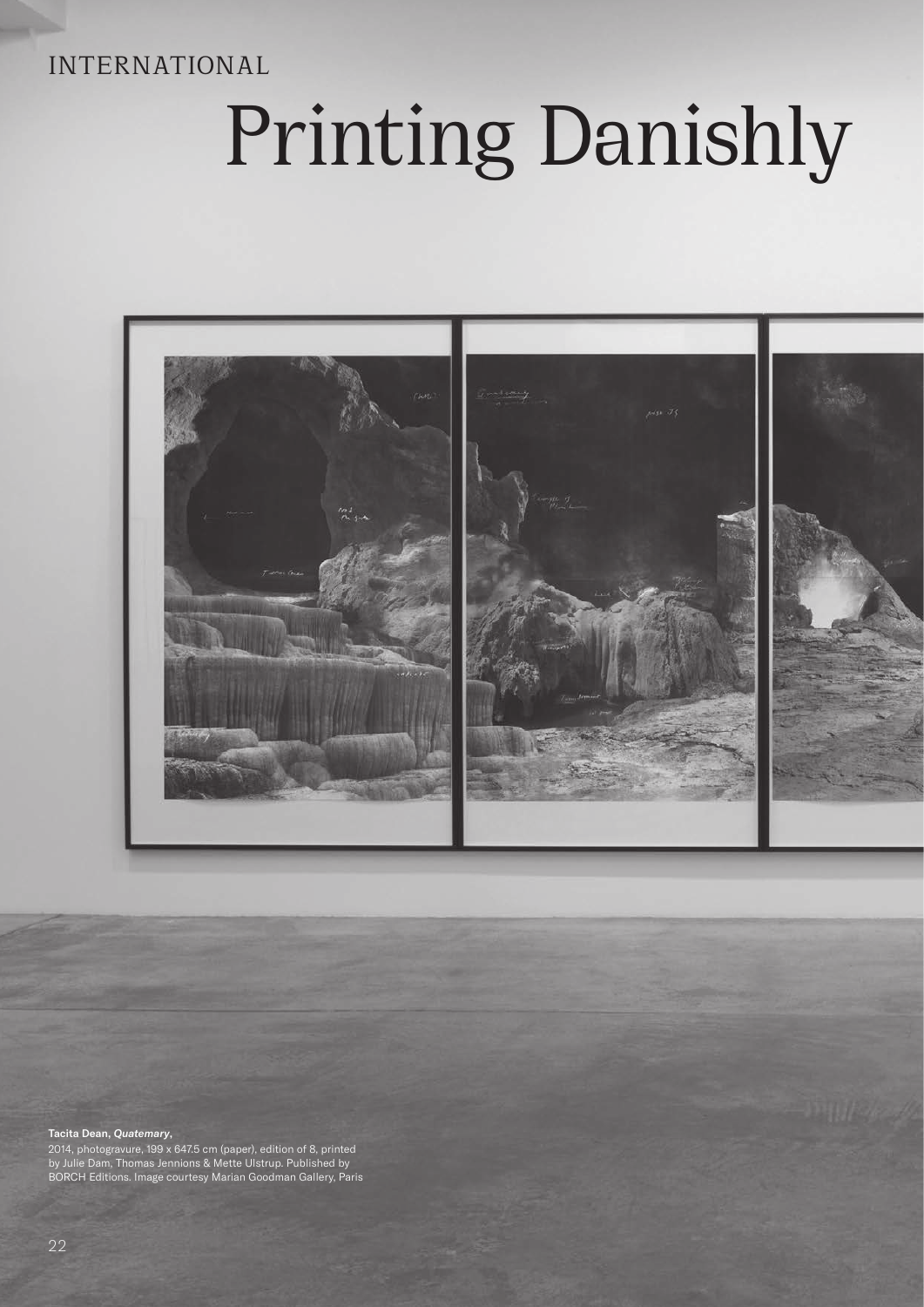# INTERNATIONAL

# Printing Danishly



#### Tacita Dean, *Quatemary*,

2014, photogravure, 199 x 647.5 cm (paper), edition of 8, printed by Julie Dam, Thomas Jennions & Mette Ulstrup. Published by BORCH Editions. Image courtesy Marian Goodman Gallery, Paris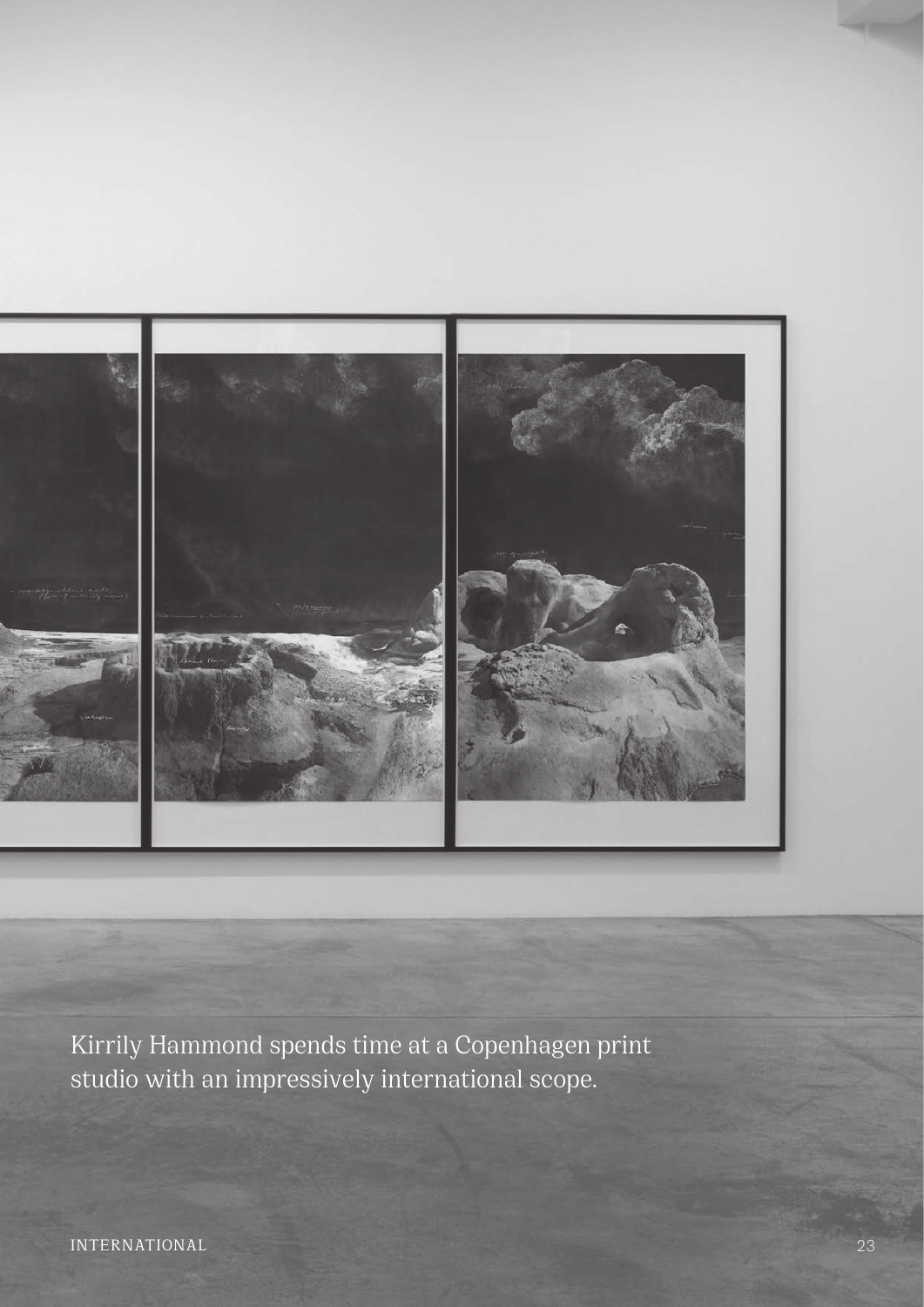

Kirrily Hammond spends time at a Copenhagen print studio with an impressively international scope.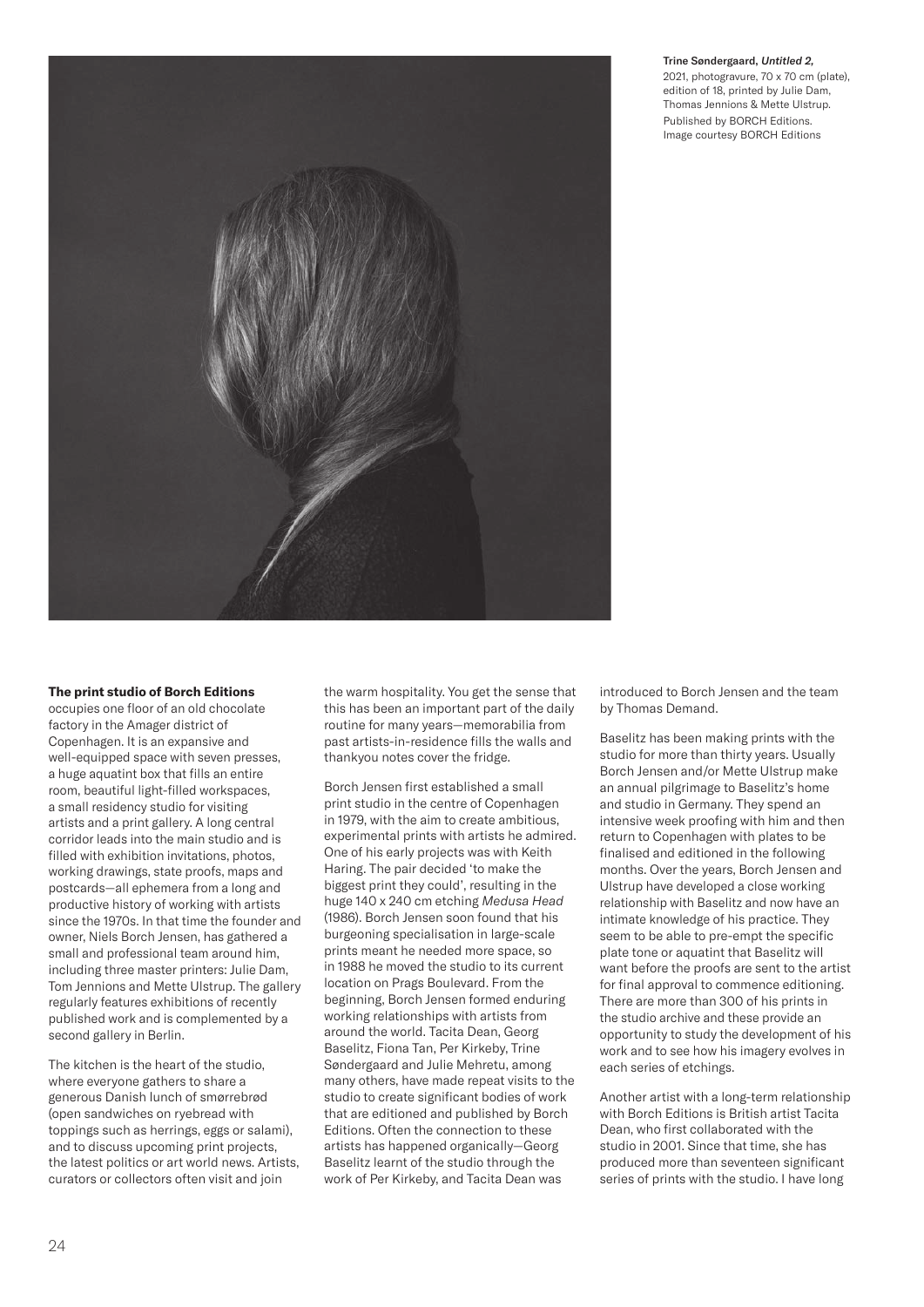

# Trine Søndergaard, *Untitled 2,*

2021, photogravure, 70 x 70 cm (plate), edition of 18, printed by Julie Dam, Thomas Jennions & Mette Ulstrup. Published by BORCH Editions. Image courtesy BORCH Editions

# **The print studio of Borch Editions**

occupies one floor of an old chocolate factory in the Amager district of Copenhagen. It is an expansive and well-equipped space with seven presses, a huge aquatint box that fills an entire room, beautiful light-filled workspaces, a small residency studio for visiting artists and a print gallery. A long central corridor leads into the main studio and is filled with exhibition invitations, photos, working drawings, state proofs, maps and postcards—all ephemera from a long and productive history of working with artists since the 1970s. In that time the founder and owner, Niels Borch Jensen, has gathered a small and professional team around him, including three master printers: Julie Dam, Tom Jennions and Mette Ulstrup. The gallery regularly features exhibitions of recently published work and is complemented by a second gallery in Berlin.

The kitchen is the heart of the studio, where everyone gathers to share a generous Danish lunch of smørrebrød (open sandwiches on ryebread with toppings such as herrings, eggs or salami), and to discuss upcoming print projects, the latest politics or art world news. Artists, curators or collectors often visit and join

the warm hospitality. You get the sense that this has been an important part of the daily routine for many years—memorabilia from past artists-in-residence fills the walls and thankyou notes cover the fridge.

Borch Jensen first established a small print studio in the centre of Copenhagen in 1979, with the aim to create ambitious, experimental prints with artists he admired. One of his early projects was with Keith Haring. The pair decided 'to make the biggest print they could', resulting in the huge 140 x 240 cm etching *Medusa Head* (1986). Borch Jensen soon found that his burgeoning specialisation in large-scale prints meant he needed more space, so in 1988 he moved the studio to its current location on Prags Boulevard. From the beginning, Borch Jensen formed enduring working relationships with artists from around the world. Tacita Dean, Georg Baselitz, Fiona Tan, Per Kirkeby, Trine Søndergaard and Julie Mehretu, among many others, have made repeat visits to the studio to create significant bodies of work that are editioned and published by Borch Editions. Often the connection to these artists has happened organically—Georg Baselitz learnt of the studio through the work of Per Kirkeby, and Tacita Dean was

introduced to Borch Jensen and the team by Thomas Demand.

Baselitz has been making prints with the studio for more than thirty years. Usually Borch Jensen and/or Mette Ulstrup make an annual pilgrimage to Baselitz's home and studio in Germany. They spend an intensive week proofing with him and then return to Copenhagen with plates to be finalised and editioned in the following months. Over the years, Borch Jensen and Ulstrup have developed a close working relationship with Baselitz and now have an intimate knowledge of his practice. They seem to be able to pre-empt the specific plate tone or aquatint that Baselitz will want before the proofs are sent to the artist for final approval to commence editioning. There are more than 300 of his prints in the studio archive and these provide an opportunity to study the development of his work and to see how his imagery evolves in each series of etchings.

Another artist with a long-term relationship with Borch Editions is British artist Tacita Dean, who first collaborated with the studio in 2001. Since that time, she has produced more than seventeen significant series of prints with the studio. I have long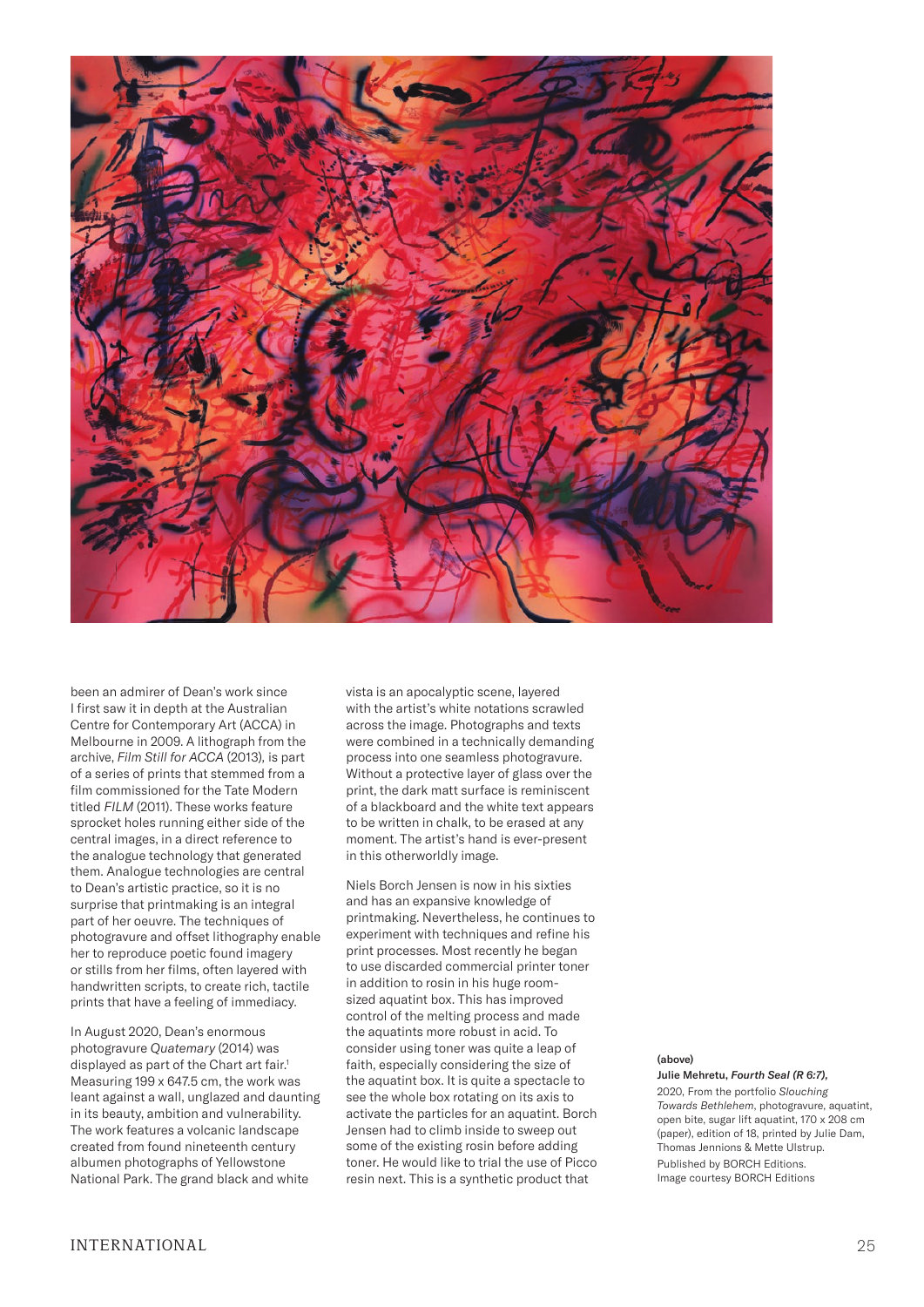

been an admirer of Dean's work since I first saw it in depth at the Australian Centre for Contemporary Art (ACCA) in Melbourne in 2009. A lithograph from the archive, *Film Still for ACCA* (2013)*,* is part of a series of prints that stemmed from a film commissioned for the Tate Modern titled *FILM* (2011). These works feature sprocket holes running either side of the central images, in a direct reference to the analogue technology that generated them. Analogue technologies are central to Dean's artistic practice, so it is no surprise that printmaking is an integral part of her oeuvre. The techniques of photogravure and offset lithography enable her to reproduce poetic found imagery or stills from her films, often layered with handwritten scripts, to create rich, tactile prints that have a feeling of immediacy.

In August 2020, Dean's enormous photogravure *Quatemary* (2014) was displayed as part of the Chart art fair.<sup>1</sup> Measuring 199 x 647.5 cm, the work was leant against a wall, unglazed and daunting in its beauty, ambition and vulnerability. The work features a volcanic landscape created from found nineteenth century albumen photographs of Yellowstone National Park. The grand black and white

vista is an apocalyptic scene, layered with the artist's white notations scrawled across the image. Photographs and texts were combined in a technically demanding process into one seamless photogravure. Without a protective layer of glass over the print, the dark matt surface is reminiscent of a blackboard and the white text appears to be written in chalk, to be erased at any moment. The artist's hand is ever-present in this otherworldly image.

Niels Borch Jensen is now in his sixties and has an expansive knowledge of printmaking. Nevertheless, he continues to experiment with techniques and refine his print processes. Most recently he began to use discarded commercial printer toner in addition to rosin in his huge roomsized aquatint box. This has improved control of the melting process and made the aquatints more robust in acid. To consider using toner was quite a leap of faith, especially considering the size of the aquatint box. It is quite a spectacle to see the whole box rotating on its axis to activate the particles for an aquatint. Borch Jensen had to climb inside to sweep out some of the existing rosin before adding toner. He would like to trial the use of Picco resin next. This is a synthetic product that

# (above)

Julie Mehretu, *Fourth Seal (R 6:7),* 2020, From the portfolio *Slouching Towards Bethlehem*, photogravure, aquatint, open bite, sugar lift aquatint, 170 x 208 cm (paper), edition of 18, printed by Julie Dam, Thomas Jennions & Mette Ulstrup. Published by BORCH Editions. Image courtesy BORCH Editions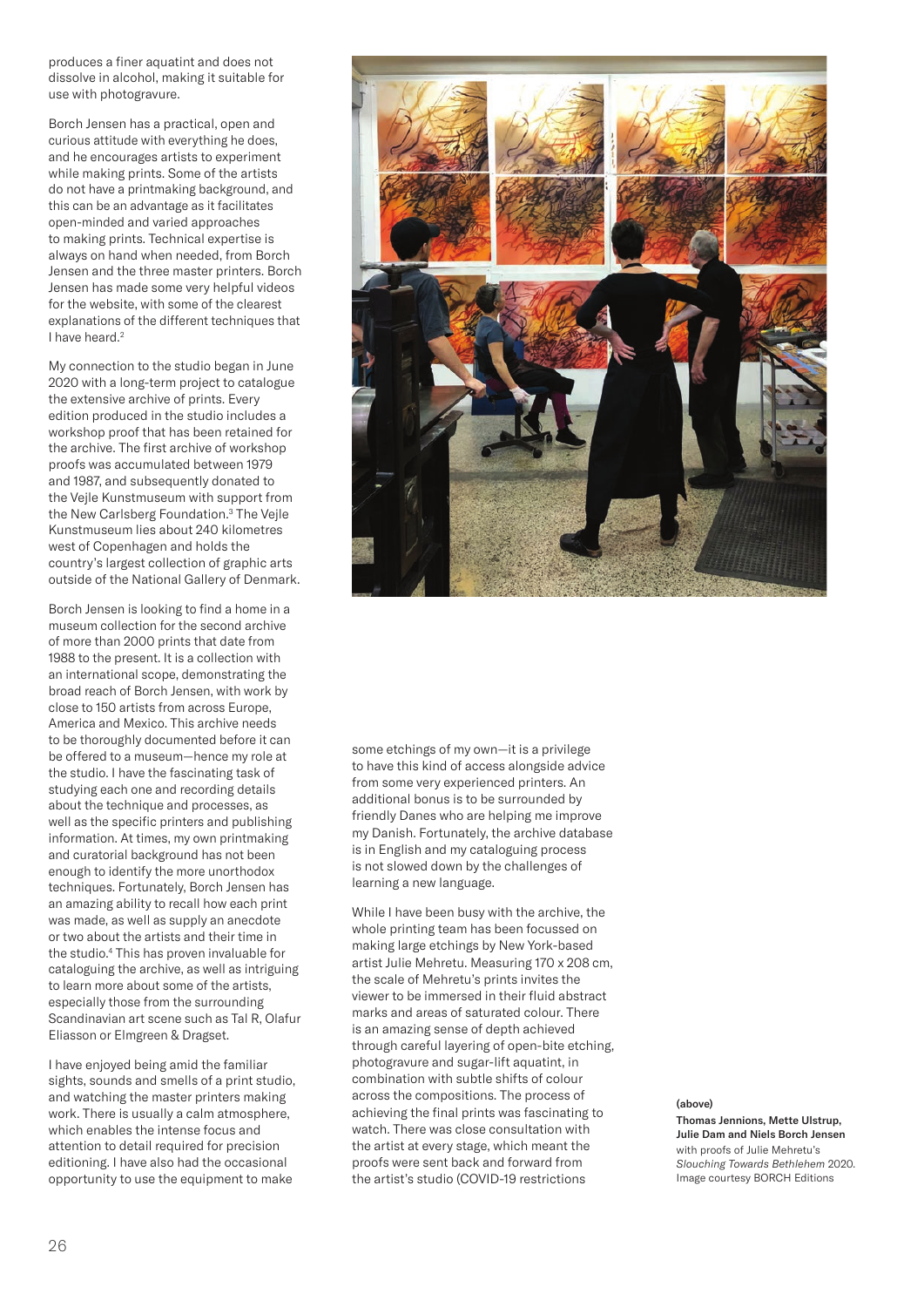produces a finer aquatint and does not dissolve in alcohol, making it suitable for use with photogravure.

Borch Jensen has a practical, open and curious attitude with everything he does, and he encourages artists to experiment while making prints. Some of the artists do not have a printmaking background, and this can be an advantage as it facilitates open-minded and varied approaches to making prints. Technical expertise is always on hand when needed, from Borch Jensen and the three master printers. Borch Jensen has made some very helpful videos for the website, with some of the clearest explanations of the different techniques that I have heard.<sup>2</sup>

My connection to the studio began in June 2020 with a long-term project to catalogue the extensive archive of prints. Every edition produced in the studio includes a workshop proof that has been retained for the archive. The first archive of workshop proofs was accumulated between 1979 and 1987, and subsequently donated to the Vejle Kunstmuseum with support from the New Carlsberg Foundation.3 The Vejle Kunstmuseum lies about 240 kilometres west of Copenhagen and holds the country's largest collection of graphic arts outside of the National Gallery of Denmark.

Borch Jensen is looking to find a home in a museum collection for the second archive of more than 2000 prints that date from 1988 to the present. It is a collection with an international scope, demonstrating the broad reach of Borch Jensen, with work by close to 150 artists from across Europe, America and Mexico. This archive needs to be thoroughly documented before it can be offered to a museum—hence my role at the studio. I have the fascinating task of studying each one and recording details about the technique and processes, as well as the specific printers and publishing information. At times, my own printmaking and curatorial background has not been enough to identify the more unorthodox techniques. Fortunately, Borch Jensen has an amazing ability to recall how each print was made, as well as supply an anecdote or two about the artists and their time in the studio.4 This has proven invaluable for cataloguing the archive, as well as intriguing to learn more about some of the artists, especially those from the surrounding Scandinavian art scene such as Tal R, Olafur Eliasson or Elmgreen & Dragset.

I have enjoyed being amid the familiar sights, sounds and smells of a print studio, and watching the master printers making work. There is usually a calm atmosphere, which enables the intense focus and attention to detail required for precision editioning. I have also had the occasional opportunity to use the equipment to make



some etchings of my own—it is a privilege to have this kind of access alongside advice from some very experienced printers. An additional bonus is to be surrounded by friendly Danes who are helping me improve my Danish. Fortunately, the archive database is in English and my cataloguing process is not slowed down by the challenges of learning a new language.

While I have been busy with the archive, the whole printing team has been focussed on making large etchings by New York-based artist Julie Mehretu. Measuring 170 x 208 cm, the scale of Mehretu's prints invites the viewer to be immersed in their fluid abstract marks and areas of saturated colour. There is an amazing sense of depth achieved through careful layering of open-bite etching, photogravure and sugar-lift aquatint, in combination with subtle shifts of colour across the compositions. The process of achieving the final prints was fascinating to watch. There was close consultation with the artist at every stage, which meant the proofs were sent back and forward from the artist's studio (COVID-19 restrictions

#### (above)

Thomas Jennions, Mette Ulstrup, Julie Dam and Niels Borch Jensen with proofs of Julie Mehretu's *Slouching Towards Bethlehem* 2020. Image courtesy BORCH Editions